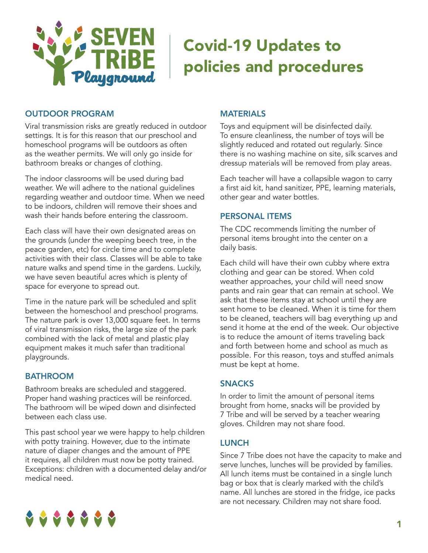

# Covid-19 Updates to policies and procedures

# OUTDOOR PROGRAM

Viral transmission risks are greatly reduced in outdoor settings. It is for this reason that our preschool and homeschool programs will be outdoors as often as the weather permits. We will only go inside for bathroom breaks or changes of clothing.

The indoor classrooms will be used during bad weather. We will adhere to the national guidelines regarding weather and outdoor time. When we need to be indoors, children will remove their shoes and wash their hands before entering the classroom.

Each class will have their own designated areas on the grounds (under the weeping beech tree, in the peace garden, etc) for circle time and to complete activities with their class. Classes will be able to take nature walks and spend time in the gardens. Luckily, we have seven beautiful acres which is plenty of space for everyone to spread out.

Time in the nature park will be scheduled and split between the homeschool and preschool programs. The nature park is over 13,000 square feet. In terms of viral transmission risks, the large size of the park combined with the lack of metal and plastic play equipment makes it much safer than traditional playgrounds.

# **BATHROOM**

Bathroom breaks are scheduled and staggered. Proper hand washing practices will be reinforced. The bathroom will be wiped down and disinfected between each class use.

This past school year we were happy to help children with potty training. However, due to the intimate nature of diaper changes and the amount of PPE it requires, all children must now be potty trained. Exceptions: children with a documented delay and/or medical need.

# MATERIALS

Toys and equipment will be disinfected daily. To ensure cleanliness, the number of toys will be slightly reduced and rotated out regularly. Since there is no washing machine on site, silk scarves and dressup materials will be removed from play areas.

Each teacher will have a collapsible wagon to carry a first aid kit, hand sanitizer, PPE, learning materials, other gear and water bottles.

# PERSONAL ITEMS

The CDC recommends limiting the number of personal items brought into the center on a daily basis.

Each child will have their own cubby where extra clothing and gear can be stored. When cold weather approaches, your child will need snow pants and rain gear that can remain at school. We ask that these items stay at school until they are sent home to be cleaned. When it is time for them to be cleaned, teachers will bag everything up and send it home at the end of the week. Our objective is to reduce the amount of items traveling back and forth between home and school as much as possible. For this reason, toys and stuffed animals must be kept at home.

#### SNACKS

In order to limit the amount of personal items brought from home, snacks will be provided by 7 Tribe and will be served by a teacher wearing gloves. Children may not share food.

# LUNCH

Since 7 Tribe does not have the capacity to make and serve lunches, lunches will be provided by families. All lunch items must be contained in a single lunch bag or box that is clearly marked with the child's name. All lunches are stored in the fridge, ice packs are not necessary. Children may not share food.

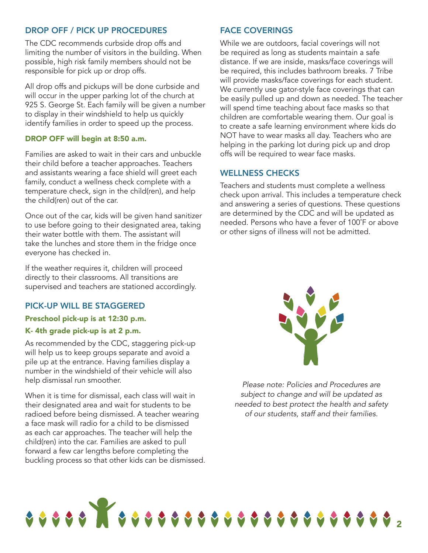# DROP OFF / PICK UP PROCEDURES

The CDC recommends curbside drop offs and limiting the number of visitors in the building. When possible, high risk family members should not be responsible for pick up or drop offs.

All drop offs and pickups will be done curbside and will occur in the upper parking lot of the church at 925 S. George St. Each family will be given a number to display in their windshield to help us quickly identify families in order to speed up the process.

#### DROP OFF will begin at 8:50 a.m.

Families are asked to wait in their cars and unbuckle their child before a teacher approaches. Teachers and assistants wearing a face shield will greet each family, conduct a wellness check complete with a temperature check, sign in the child(ren), and help the child(ren) out of the car.

Once out of the car, kids will be given hand sanitizer to use before going to their designated area, taking their water bottle with them. The assistant will take the lunches and store them in the fridge once everyone has checked in.

If the weather requires it, children will proceed directly to their classrooms. All transitions are supervised and teachers are stationed accordingly.

#### PICK-UP WILL BE STAGGERED

#### Preschool pick-up is at 12:30 p.m.

#### K- 4th grade pick-up is at 2 p.m.

As recommended by the CDC, staggering pick-up will help us to keep groups separate and avoid a pile up at the entrance. Having families display a number in the windshield of their vehicle will also help dismissal run smoother.

When it is time for dismissal, each class will wait in their designated area and wait for students to be radioed before being dismissed. A teacher wearing a face mask will radio for a child to be dismissed as each car approaches. The teacher will help the child(ren) into the car. Families are asked to pull forward a few car lengths before completing the buckling process so that other kids can be dismissed.

# FACE COVERINGS

While we are outdoors, facial coverings will not be required as long as students maintain a safe distance. If we are inside, masks/face coverings will be required, this includes bathroom breaks. 7 Tribe will provide masks/face coverings for each student. We currently use gator-style face coverings that can be easily pulled up and down as needed. The teacher will spend time teaching about face masks so that children are comfortable wearing them. Our goal is to create a safe learning environment where kids do NOT have to wear masks all day. Teachers who are helping in the parking lot during pick up and drop offs will be required to wear face masks.

#### WELLNESS CHECKS

Teachers and students must complete a wellness check upon arrival. This includes a temperature check and answering a series of questions. These questions are determined by the CDC and will be updated as needed. Persons who have a fever of 100˚F or above or other signs of illness will not be admitted.



*Please note: Policies and Procedures are subject to change and will be updated as needed to best protect the health and safety of our students, staff and their families.*

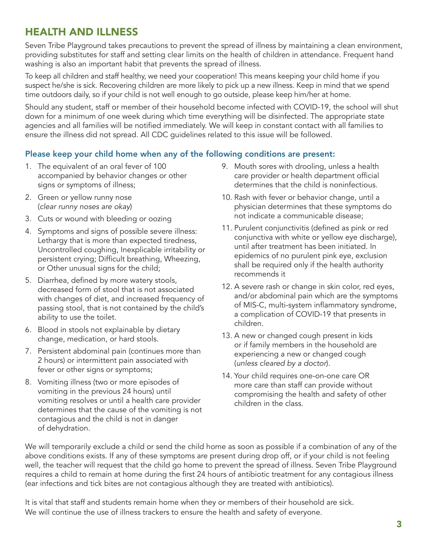# HEALTH AND ILLNESS

Seven Tribe Playground takes precautions to prevent the spread of illness by maintaining a clean environment, providing substitutes for staff and setting clear limits on the health of children in attendance. Frequent hand washing is also an important habit that prevents the spread of illness.

To keep all children and staff healthy, we need your cooperation! This means keeping your child home if you suspect he/she is sick. Recovering children are more likely to pick up a new illness. Keep in mind that we spend time outdoors daily, so if your child is not well enough to go outside, please keep him/her at home.

Should any student, staff or member of their household become infected with COVID-19, the school will shut down for a minimum of one week during which time everything will be disinfected. The appropriate state agencies and all families will be notified immediately. We will keep in constant contact with all families to ensure the illness did not spread. All CDC guidelines related to this issue will be followed.

# Please keep your child home when any of the following conditions are present:

- 1. The equivalent of an oral fever of 100 accompanied by behavior changes or other signs or symptoms of illness;
- 2. Green or yellow runny nose (*clear runny noses are okay*)
- 3. Cuts or wound with bleeding or oozing
- 4. Symptoms and signs of possible severe illness: Lethargy that is more than expected tiredness, Uncontrolled coughing, Inexplicable irritability or persistent crying; Difficult breathing, Wheezing, or Other unusual signs for the child;
- 5. Diarrhea, defined by more watery stools, decreased form of stool that is not associated with changes of diet, and increased frequency of passing stool, that is not contained by the child's ability to use the toilet.
- 6. Blood in stools not explainable by dietary change, medication, or hard stools.
- 7. Persistent abdominal pain (continues more than 2 hours) or intermittent pain associated with fever or other signs or symptoms;
- 8. Vomiting illness (two or more episodes of vomiting in the previous 24 hours) until vomiting resolves or until a health care provider determines that the cause of the vomiting is not contagious and the child is not in danger of dehydration.
- 9. Mouth sores with drooling, unless a health care provider or health department official determines that the child is noninfectious.
- 10. Rash with fever or behavior change, until a physician determines that these symptoms do not indicate a communicable disease;
- 11. Purulent conjunctivitis (defined as pink or red conjunctiva with white or yellow eye discharge), until after treatment has been initiated. In epidemics of no purulent pink eye, exclusion shall be required only if the health authority recommends it
- 12. A severe rash or change in skin color, red eyes, and/or abdominal pain which are the symptoms of MIS-C, multi-system inflammatory syndrome, a complication of COVID-19 that presents in children.
- 13. A new or changed cough present in kids or if family members in the household are experiencing a new or changed cough (*unless cleared by a doctor*).
- 14. Your child requires one-on-one care OR more care than staff can provide without compromising the health and safety of other children in the class.

We will temporarily exclude a child or send the child home as soon as possible if a combination of any of the above conditions exists. If any of these symptoms are present during drop off, or if your child is not feeling well, the teacher will request that the child go home to prevent the spread of illness. Seven Tribe Playground requires a child to remain at home during the first 24 hours of antibiotic treatment for any contagious illness (ear infections and tick bites are not contagious although they are treated with antibiotics).

It is vital that staff and students remain home when they or members of their household are sick. We will continue the use of illness trackers to ensure the health and safety of everyone.